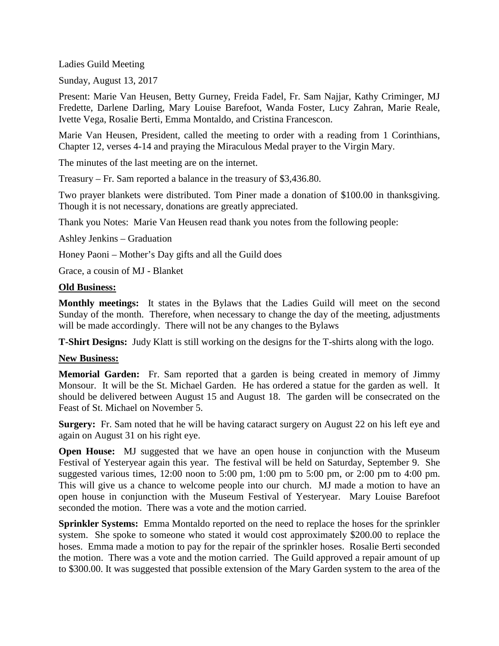Ladies Guild Meeting

Sunday, August 13, 2017

Present: Marie Van Heusen, Betty Gurney, Freida Fadel, Fr. Sam Najjar, Kathy Criminger, MJ Fredette, Darlene Darling, Mary Louise Barefoot, Wanda Foster, Lucy Zahran, Marie Reale, Ivette Vega, Rosalie Berti, Emma Montaldo, and Cristina Francescon.

Marie Van Heusen, President, called the meeting to order with a reading from 1 Corinthians, Chapter 12, verses 4-14 and praying the Miraculous Medal prayer to the Virgin Mary.

The minutes of the last meeting are on the internet.

Treasury – Fr. Sam reported a balance in the treasury of \$3,436.80.

Two prayer blankets were distributed. Tom Piner made a donation of \$100.00 in thanksgiving. Though it is not necessary, donations are greatly appreciated.

Thank you Notes: Marie Van Heusen read thank you notes from the following people:

Ashley Jenkins – Graduation

Honey Paoni – Mother's Day gifts and all the Guild does

Grace, a cousin of MJ - Blanket

## **Old Business:**

**Monthly meetings:** It states in the Bylaws that the Ladies Guild will meet on the second Sunday of the month. Therefore, when necessary to change the day of the meeting, adjustments will be made accordingly. There will not be any changes to the Bylaws

**T-Shirt Designs:** Judy Klatt is still working on the designs for the T-shirts along with the logo.

## **New Business:**

**Memorial Garden:** Fr. Sam reported that a garden is being created in memory of Jimmy Monsour. It will be the St. Michael Garden. He has ordered a statue for the garden as well. It should be delivered between August 15 and August 18. The garden will be consecrated on the Feast of St. Michael on November 5.

**Surgery:** Fr. Sam noted that he will be having cataract surgery on August 22 on his left eye and again on August 31 on his right eye.

**Open House:** MJ suggested that we have an open house in conjunction with the Museum Festival of Yesteryear again this year. The festival will be held on Saturday, September 9. She suggested various times, 12:00 noon to 5:00 pm, 1:00 pm to 5:00 pm, or 2:00 pm to 4:00 pm. This will give us a chance to welcome people into our church. MJ made a motion to have an open house in conjunction with the Museum Festival of Yesteryear. Mary Louise Barefoot seconded the motion. There was a vote and the motion carried.

**Sprinkler Systems:** Emma Montaldo reported on the need to replace the hoses for the sprinkler system. She spoke to someone who stated it would cost approximately \$200.00 to replace the hoses. Emma made a motion to pay for the repair of the sprinkler hoses. Rosalie Berti seconded the motion. There was a vote and the motion carried. The Guild approved a repair amount of up to \$300.00. It was suggested that possible extension of the Mary Garden system to the area of the